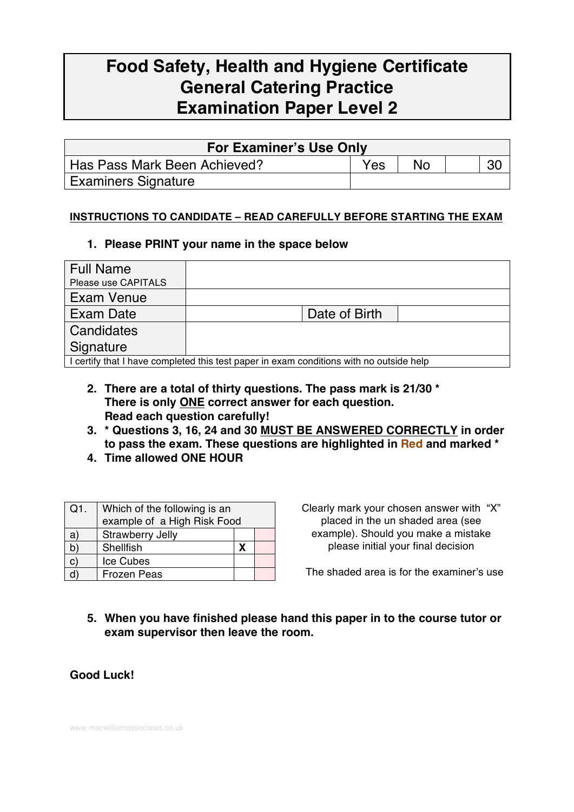# **Food Safety, Health and Hygiene Certificate General Catering Practice Examination Paper Level 2**

| <b>For Examiner's Use Only</b> |     |           |  |  |  |
|--------------------------------|-----|-----------|--|--|--|
| Has Pass Mark Been Achieved?   | Yes | <b>No</b> |  |  |  |
| <b>Examiners Signature</b>     |     |           |  |  |  |

#### **INSTRUCTIONS TO CANDIDATE – READ CAREFULLY BEFORE STARTING THE EXAM**

#### **1. Please PRINT your name in the space below**

| <b>Full Name</b>                                                                        |               |  |  |
|-----------------------------------------------------------------------------------------|---------------|--|--|
| Please use CAPITALS                                                                     |               |  |  |
| Exam Venue                                                                              |               |  |  |
| Exam Date                                                                               | Date of Birth |  |  |
| Candidates                                                                              |               |  |  |
| Signature                                                                               |               |  |  |
| I certify that I have completed this test paper in exam conditions with no outside help |               |  |  |

- **2. There are a total of thirty questions. The pass mark is 21/30 \* There is only ONE correct answer for each question. Read each question carefully!**
- **3. \* Questions 3, 16, 24 and 30 MUST BE ANSWERED CORRECTLY in order to pass the exam. These questions are highlighted in Red and marked \***
- **4. Time allowed ONE HOUR**

| $Q1$ . | Which of the following is an<br>example of a High Risk Food |   |  |
|--------|-------------------------------------------------------------|---|--|
| a)     | Strawberry Jelly                                            |   |  |
|        | Shellfish                                                   | х |  |
| C)     | Ice Cubes                                                   |   |  |
|        | Frozen Peas                                                 |   |  |

Clearly mark your chosen answer with "X" placed in the un shaded area (see example). Should you make a mistake please initial your final decision

The shaded area is for the examiner's use

### **5. When you have finished please hand this paper in to the course tutor or exam supervisor then leave the room.**

**Good Luck!**

www.macwilliamassociates.co.uk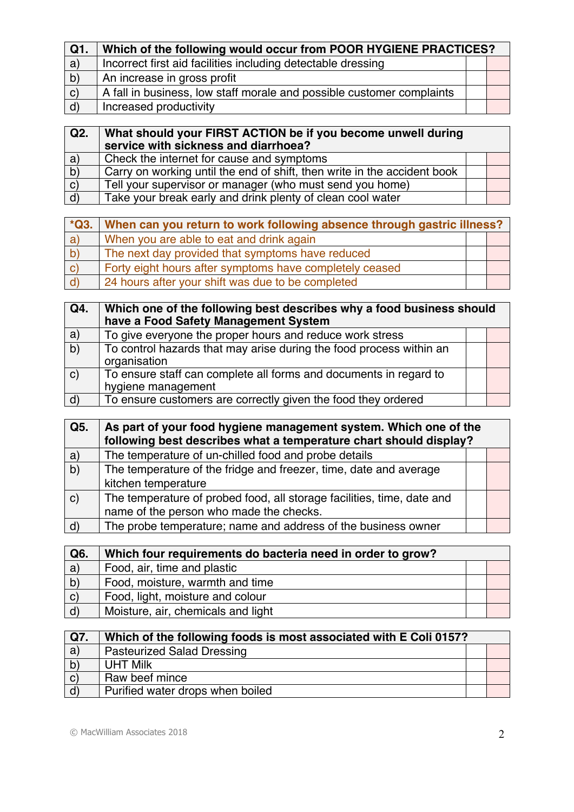| Q1.          | Which of the following would occur from POOR HYGIENE PRACTICES?       |  |  |
|--------------|-----------------------------------------------------------------------|--|--|
| a)           | Incorrect first aid facilities including detectable dressing          |  |  |
| $\mathsf{b}$ | An increase in gross profit                                           |  |  |
| $\mathbf{C}$ | A fall in business, low staff morale and possible customer complaints |  |  |
| $\mid d$     | Increased productivity                                                |  |  |

| Q2.          | What should your FIRST ACTION be if you become unwell during<br>service with sickness and diarrhoea? |  |
|--------------|------------------------------------------------------------------------------------------------------|--|
| a)           | Check the internet for cause and symptoms                                                            |  |
| b)           | Carry on working until the end of shift, then write in the accident book                             |  |
| $\mathbf{C}$ | Tell your supervisor or manager (who must send you home)                                             |  |
| d)           | Take your break early and drink plenty of clean cool water                                           |  |

| $*Q3.$       | When can you return to work following absence through gastric illness? |  |  |
|--------------|------------------------------------------------------------------------|--|--|
| $ a\rangle$  | When you are able to eat and drink again                               |  |  |
| $\mathsf{p}$ | The next day provided that symptoms have reduced                       |  |  |
| C)           | Forty eight hours after symptoms have completely ceased                |  |  |
|              | 24 hours after your shift was due to be completed                      |  |  |

| Q4.          | Which one of the following best describes why a food business should<br>have a Food Safety Management System |  |  |
|--------------|--------------------------------------------------------------------------------------------------------------|--|--|
| a)           | To give everyone the proper hours and reduce work stress                                                     |  |  |
| b)           | To control hazards that may arise during the food process within an<br>organisation                          |  |  |
| $\mathbf{C}$ | To ensure staff can complete all forms and documents in regard to<br>hygiene management                      |  |  |
| $\mathsf{d}$ | To ensure customers are correctly given the food they ordered                                                |  |  |

| Q5.          | As part of your food hygiene management system. Which one of the       |  |  |
|--------------|------------------------------------------------------------------------|--|--|
|              | following best describes what a temperature chart should display?      |  |  |
| $\mathsf{a}$ | The temperature of un-chilled food and probe details                   |  |  |
| b)           | The temperature of the fridge and freezer, time, date and average      |  |  |
|              | kitchen temperature                                                    |  |  |
| $\mathbf{C}$ | The temperature of probed food, all storage facilities, time, date and |  |  |
|              | name of the person who made the checks.                                |  |  |
| d            | The probe temperature; name and address of the business owner          |  |  |

| Q6.          | Which four requirements do bacteria need in order to grow? |  |
|--------------|------------------------------------------------------------|--|
| a)           | Food, air, time and plastic                                |  |
| b)           | Food, moisture, warmth and time                            |  |
| $\mathbf{C}$ | Food, light, moisture and colour                           |  |
| d)           | Moisture, air, chemicals and light                         |  |

| Q7.          | Which of the following foods is most associated with E Coli 0157? |  |  |
|--------------|-------------------------------------------------------------------|--|--|
| a)           | <b>Pasteurized Salad Dressing</b>                                 |  |  |
| b)           | <b>UHT Milk</b>                                                   |  |  |
| $\mathbf{C}$ | Raw beef mince                                                    |  |  |
| $\mathsf{d}$ | Purified water drops when boiled                                  |  |  |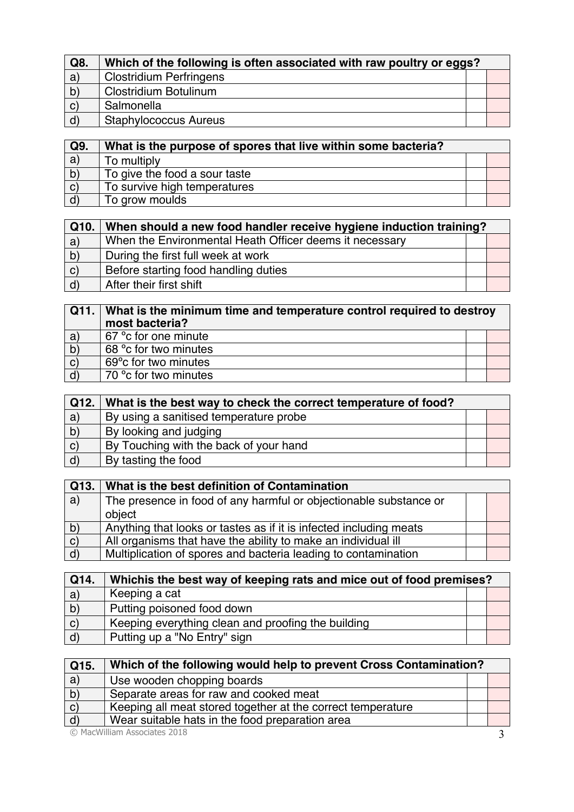| Q8.          | Which of the following is often associated with raw poultry or eggs? |  |  |
|--------------|----------------------------------------------------------------------|--|--|
| a)           | <b>Clostridium Perfringens</b>                                       |  |  |
| $\mathsf{b}$ | <b>Clostridium Botulinum</b>                                         |  |  |
| $\mathbf{C}$ | Salmonella                                                           |  |  |
| $\mathsf{d}$ | <b>Staphylococcus Aureus</b>                                         |  |  |

| Q9.          | What is the purpose of spores that live within some bacteria? |  |
|--------------|---------------------------------------------------------------|--|
| a)           | To multiply                                                   |  |
| b)           | To give the food a sour taste                                 |  |
| $\mathbf{C}$ | To survive high temperatures                                  |  |
| d            | To grow moulds                                                |  |

| Q10.         | When should a new food handler receive hygiene induction training? |  |  |
|--------------|--------------------------------------------------------------------|--|--|
| a)           | When the Environmental Heath Officer deems it necessary            |  |  |
| $\mathbf{b}$ | During the first full week at work                                 |  |  |
| (c)          | Before starting food handling duties                               |  |  |
| (d)          | After their first shift                                            |  |  |

| Q11.         | What is the minimum time and temperature control required to destroy<br>most bacteria? |  |  |
|--------------|----------------------------------------------------------------------------------------|--|--|
| a)           | 67 °c for one minute                                                                   |  |  |
| b)           | 68 ° c for two minutes                                                                 |  |  |
| $\mathbf{C}$ | 69° c for two minutes                                                                  |  |  |
| $\mathsf{d}$ | 70 °c for two minutes                                                                  |  |  |

| Q12.         | What is the best way to check the correct temperature of food? |  |
|--------------|----------------------------------------------------------------|--|
| a)           | By using a sanitised temperature probe                         |  |
| b)           | By looking and judging                                         |  |
| $\mathbf{C}$ | By Touching with the back of your hand                         |  |
| d'           | By tasting the food                                            |  |

| Q13.         | What is the best definition of Contamination                       |  |
|--------------|--------------------------------------------------------------------|--|
| a)           | The presence in food of any harmful or objectionable substance or  |  |
|              | object                                                             |  |
| b)           | Anything that looks or tastes as if it is infected including meats |  |
| $\mathsf{C}$ | All organisms that have the ability to make an individual ill      |  |
| $\mathsf{d}$ | Multiplication of spores and bacteria leading to contamination     |  |

| Q14.          | Whichis the best way of keeping rats and mice out of food premises? |  |  |
|---------------|---------------------------------------------------------------------|--|--|
| a)            | Keeping a cat                                                       |  |  |
| $\vert$ b)    | Putting poisoned food down                                          |  |  |
| $\mathbf{C}$  | Keeping everything clean and proofing the building                  |  |  |
| $\mathsf{d}'$ | Putting up a "No Entry" sign                                        |  |  |

| Q15.                         | Which of the following would help to prevent Cross Contamination? |  |  |
|------------------------------|-------------------------------------------------------------------|--|--|
| a)                           | Use wooden chopping boards                                        |  |  |
| $\overline{b}$               | Separate areas for raw and cooked meat                            |  |  |
| (c)                          | Keeping all meat stored together at the correct temperature       |  |  |
| $\mathsf{d}$                 | Wear suitable hats in the food preparation area                   |  |  |
| © MacWilliam Associates 2018 |                                                                   |  |  |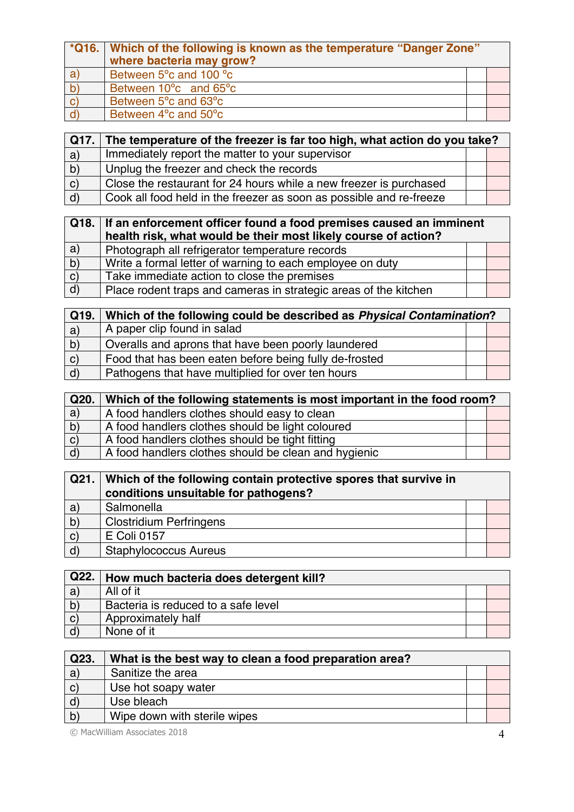|              | *Q16. Which of the following is known as the temperature "Danger Zone"<br>where bacteria may grow? |  |  |
|--------------|----------------------------------------------------------------------------------------------------|--|--|
| a)           | Between 5°c and 100 °c                                                                             |  |  |
| $\mathsf{b}$ | Between 10 <sup>o</sup> c and 65 <sup>o</sup> c                                                    |  |  |
| $\vert$ C)   | Between 5 <sup>o</sup> c and 63 <sup>o</sup> c                                                     |  |  |
|              | Between 4 <sup>o</sup> c and 50 <sup>o</sup> c                                                     |  |  |

| Q17.                | The temperature of the freezer is far too high, what action do you take? |  |  |
|---------------------|--------------------------------------------------------------------------|--|--|
| a)                  | Immediately report the matter to your supervisor                         |  |  |
| $\mathsf{b}$        | Unplug the freezer and check the records                                 |  |  |
| $\langle c \rangle$ | Close the restaurant for 24 hours while a new freezer is purchased       |  |  |
| $\mathsf{d}$        | Cook all food held in the freezer as soon as possible and re-freeze      |  |  |

|                       | Q18. If an enforcement officer found a food premises caused an imminent |  |  |
|-----------------------|-------------------------------------------------------------------------|--|--|
|                       | health risk, what would be their most likely course of action?          |  |  |
| a)                    | Photograph all refrigerator temperature records                         |  |  |
| $\mathsf{b}$          | Write a formal letter of warning to each employee on duty               |  |  |
| $\mathbf{C}^{\prime}$ | Take immediate action to close the premises                             |  |  |
| $\mathsf{d}$          | Place rodent traps and cameras in strategic areas of the kitchen        |  |  |

| $\sqrt{Q}$ 19. | Which of the following could be described as Physical Contamination? |  |  |
|----------------|----------------------------------------------------------------------|--|--|
| a)             | A paper clip found in salad                                          |  |  |
| $\mathsf{b}$   | Overalls and aprons that have been poorly laundered                  |  |  |
| $\mathbf{C}$   | Food that has been eaten before being fully de-frosted               |  |  |
| $\mathsf{d}$   | Pathogens that have multiplied for over ten hours                    |  |  |

| Q20.         | Which of the following statements is most important in the food room? |  |  |
|--------------|-----------------------------------------------------------------------|--|--|
| a)           | A food handlers clothes should easy to clean                          |  |  |
| (b)          | A food handlers clothes should be light coloured                      |  |  |
| $\mathbf{C}$ | A food handlers clothes should be tight fitting                       |  |  |
| $\mathsf{d}$ | A food handlers clothes should be clean and hygienic                  |  |  |

| Q21.                | Which of the following contain protective spores that survive in |  |
|---------------------|------------------------------------------------------------------|--|
|                     | conditions unsuitable for pathogens?                             |  |
| a)                  | Salmonella                                                       |  |
| b)                  | <b>Clostridium Perfringens</b>                                   |  |
| $\mathsf{C}$        | E Coli 0157                                                      |  |
| $\langle d \rangle$ | <b>Staphylococcus Aureus</b>                                     |  |

| Q22.         | How much bacteria does detergent kill? |  |
|--------------|----------------------------------------|--|
| a            | All of it                              |  |
| b)           | Bacteria is reduced to a safe level    |  |
| $\mathbf{C}$ | Approximately half                     |  |
|              | None of it                             |  |

| Q23.                | What is the best way to clean a food preparation area? |  |
|---------------------|--------------------------------------------------------|--|
| a)                  | Sanitize the area                                      |  |
| $\langle C \rangle$ | Use hot soapy water                                    |  |
| $\mathsf{d}$        | Use bleach                                             |  |
| $\vert$ b)          | Wipe down with sterile wipes                           |  |

© MacWilliam Associates 2018 4